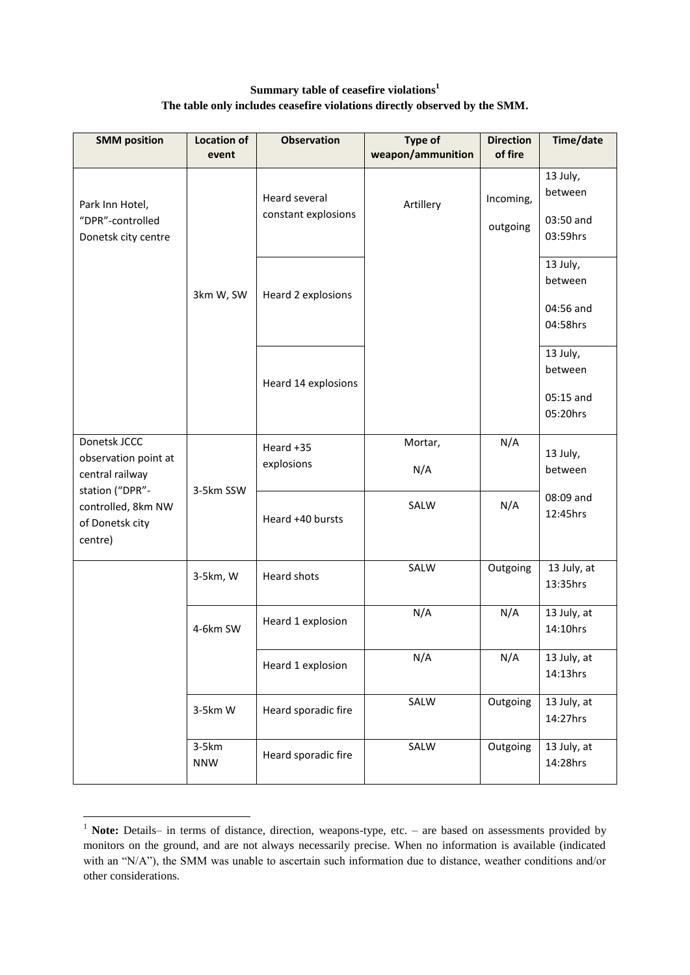## **Summary table of ceasefire violations<sup>1</sup> The table only includes ceasefire violations directly observed by the SMM.**

| <b>SMM position</b>                                                                                                            | <b>Location of</b><br>event | <b>Observation</b>                   | <b>Type of</b><br>weapon/ammunition | <b>Direction</b><br>of fire | Time/date                                    |
|--------------------------------------------------------------------------------------------------------------------------------|-----------------------------|--------------------------------------|-------------------------------------|-----------------------------|----------------------------------------------|
| Park Inn Hotel,<br>"DPR"-controlled<br>Donetsk city centre                                                                     | 3km W, SW                   | Heard several<br>constant explosions | Artillery                           | Incoming,<br>outgoing       | 13 July,<br>between<br>03:50 and<br>03:59hrs |
|                                                                                                                                |                             | Heard 2 explosions                   |                                     |                             | 13 July,<br>between<br>04:56 and<br>04:58hrs |
|                                                                                                                                |                             | Heard 14 explosions                  |                                     |                             | 13 July,<br>between<br>05:15 and<br>05:20hrs |
| Donetsk JCCC<br>observation point at<br>central railway<br>station ("DPR"-<br>controlled, 8km NW<br>of Donetsk city<br>centre) | 3-5km SSW                   | Heard +35<br>explosions              | Mortar,<br>N/A                      | N/A                         | 13 July,<br>between                          |
|                                                                                                                                |                             | Heard +40 bursts                     | SALW                                | N/A                         | 08:09 and<br>12:45hrs                        |
|                                                                                                                                | 3-5km, W                    | Heard shots                          | SALW                                | Outgoing                    | 13 July, at<br>13:35hrs                      |
|                                                                                                                                | 4-6km SW                    | Heard 1 explosion                    | N/A                                 | N/A                         | 13 July, at<br>14:10hrs                      |
|                                                                                                                                |                             | Heard 1 explosion                    | N/A                                 | N/A                         | 13 July, at<br>14:13hrs                      |
|                                                                                                                                | 3-5km W                     | Heard sporadic fire                  | SALW                                | Outgoing                    | 13 July, at<br>14:27hrs                      |
|                                                                                                                                | $3-5km$<br><b>NNW</b>       | Heard sporadic fire                  | SALW                                | Outgoing                    | 13 July, at<br>14:28hrs                      |

<sup>&</sup>lt;sup>1</sup> Note: Details– in terms of distance, direction, weapons-type, etc. – are based on assessments provided by monitors on the ground, and are not always necessarily precise. When no information is available (indicated with an "N/A"), the SMM was unable to ascertain such information due to distance, weather conditions and/or other considerations.

<u>.</u>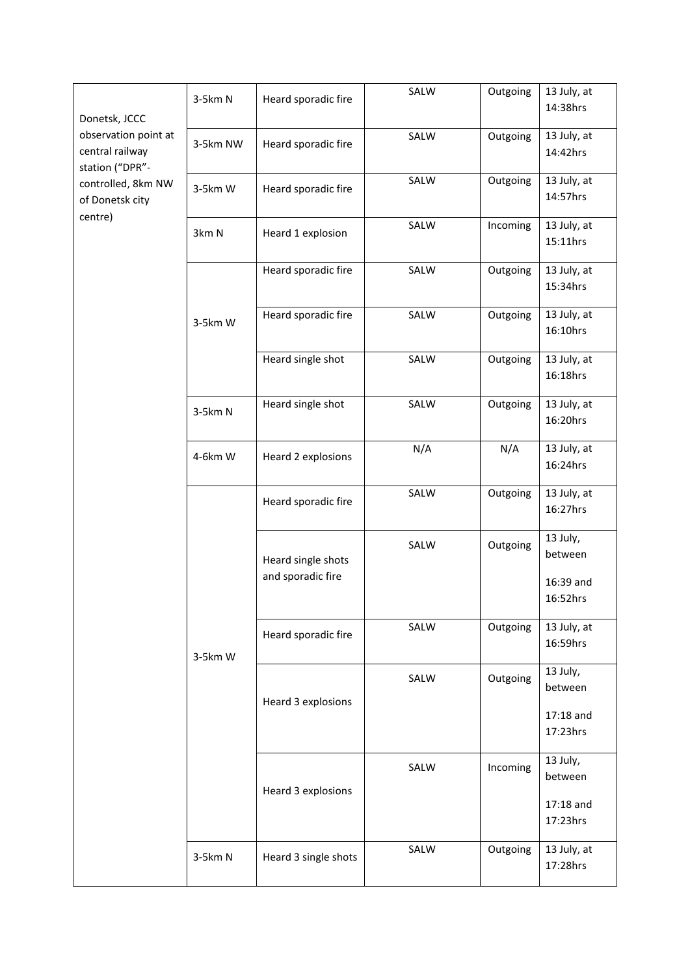| Donetsk, JCCC<br>observation point at<br>central railway<br>station ("DPR"-<br>controlled, 8km NW<br>of Donetsk city<br>centre) | 3-5km N  | Heard sporadic fire                     | SALW | Outgoing | 13 July, at<br>14:38hrs                        |
|---------------------------------------------------------------------------------------------------------------------------------|----------|-----------------------------------------|------|----------|------------------------------------------------|
|                                                                                                                                 | 3-5km NW | Heard sporadic fire                     | SALW | Outgoing | 13 July, at<br>14:42hrs                        |
|                                                                                                                                 | 3-5km W  | Heard sporadic fire                     | SALW | Outgoing | 13 July, at<br>14:57hrs                        |
|                                                                                                                                 | 3km N    | Heard 1 explosion                       | SALW | Incoming | 13 July, at<br>15:11hrs                        |
|                                                                                                                                 | 3-5km W  | Heard sporadic fire                     | SALW | Outgoing | 13 July, at<br>15:34hrs                        |
|                                                                                                                                 |          | Heard sporadic fire                     | SALW | Outgoing | 13 July, at<br>16:10hrs                        |
|                                                                                                                                 |          | Heard single shot                       | SALW | Outgoing | 13 July, at<br>16:18hrs                        |
|                                                                                                                                 | 3-5km N  | Heard single shot                       | SALW | Outgoing | 13 July, at<br>16:20hrs                        |
|                                                                                                                                 | 4-6km W  | Heard 2 explosions                      | N/A  | N/A      | 13 July, at<br>16:24hrs                        |
|                                                                                                                                 | 3-5km W  | Heard sporadic fire                     | SALW | Outgoing | 13 July, at<br>16:27hrs                        |
|                                                                                                                                 |          | Heard single shots<br>and sporadic fire | SALW | Outgoing | 13 July,<br>between<br>16:39 and<br>16:52hrs   |
|                                                                                                                                 |          | Heard sporadic fire                     | SALW | Outgoing | 13 July, at<br>16:59hrs                        |
|                                                                                                                                 |          | Heard 3 explosions                      | SALW | Outgoing | 13 July,<br>between<br>$17:18$ and<br>17:23hrs |
|                                                                                                                                 |          | Heard 3 explosions                      | SALW | Incoming | 13 July,<br>between<br>$17:18$ and<br>17:23hrs |
|                                                                                                                                 | 3-5km N  | Heard 3 single shots                    | SALW | Outgoing | 13 July, at<br>17:28hrs                        |